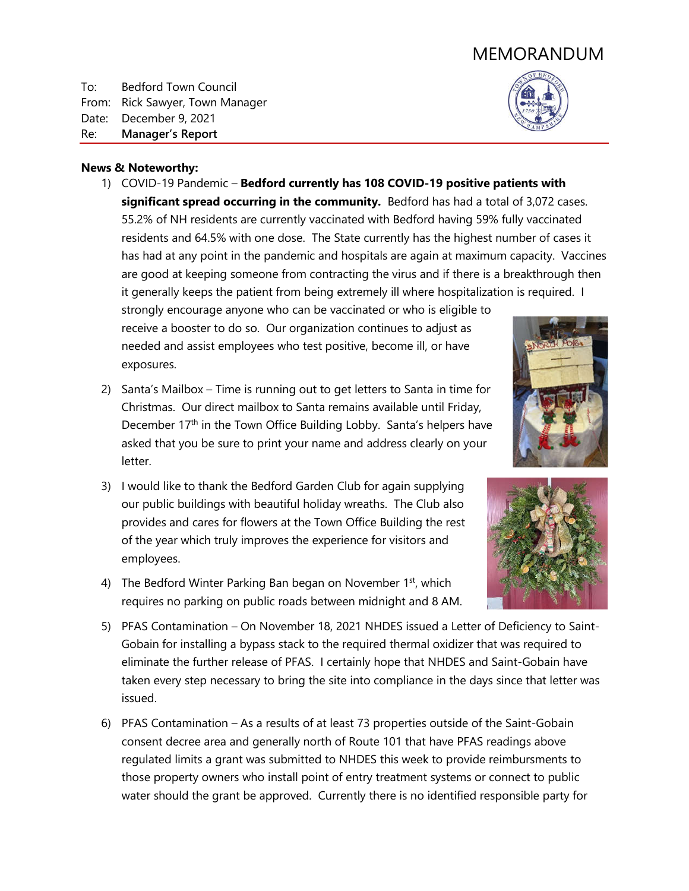# MEMORANDUM

To: Bedford Town Council From: Rick Sawyer, Town Manager Date: December 9, 2021 Re: **Manager's Report**

### **News & Noteworthy:**

1) COVID-19 Pandemic – **Bedford currently has 108 COVID-19 positive patients with significant spread occurring in the community.** Bedford has had a total of 3,072 cases. 55.2% of NH residents are currently vaccinated with Bedford having 59% fully vaccinated residents and 64.5% with one dose. The State currently has the highest number of cases it has had at any point in the pandemic and hospitals are again at maximum capacity. Vaccines are good at keeping someone from contracting the virus and if there is a breakthrough then it generally keeps the patient from being extremely ill where hospitalization is required. I strongly encourage anyone who can be vaccinated or who is eligible to

receive a booster to do so. Our organization continues to adjust as needed and assist employees who test positive, become ill, or have exposures.

- 2) Santa's Mailbox Time is running out to get letters to Santa in time for Christmas. Our direct mailbox to Santa remains available until Friday, December 17<sup>th</sup> in the Town Office Building Lobby. Santa's helpers have asked that you be sure to print your name and address clearly on your letter.
- 3) I would like to thank the Bedford Garden Club for again supplying our public buildings with beautiful holiday wreaths. The Club also provides and cares for flowers at the Town Office Building the rest of the year which truly improves the experience for visitors and employees.
- 4) The Bedford Winter Parking Ban began on November 1<sup>st</sup>, which requires no parking on public roads between midnight and 8 AM.



- 5) PFAS Contamination On November 18, 2021 NHDES issued a Letter of Deficiency to Saint-Gobain for installing a bypass stack to the required thermal oxidizer that was required to eliminate the further release of PFAS. I certainly hope that NHDES and Saint-Gobain have taken every step necessary to bring the site into compliance in the days since that letter was issued.
- 6) PFAS Contamination As a results of at least 73 properties outside of the Saint-Gobain consent decree area and generally north of Route 101 that have PFAS readings above regulated limits a grant was submitted to NHDES this week to provide reimbursments to those property owners who install point of entry treatment systems or connect to public water should the grant be approved. Currently there is no identified responsible party for



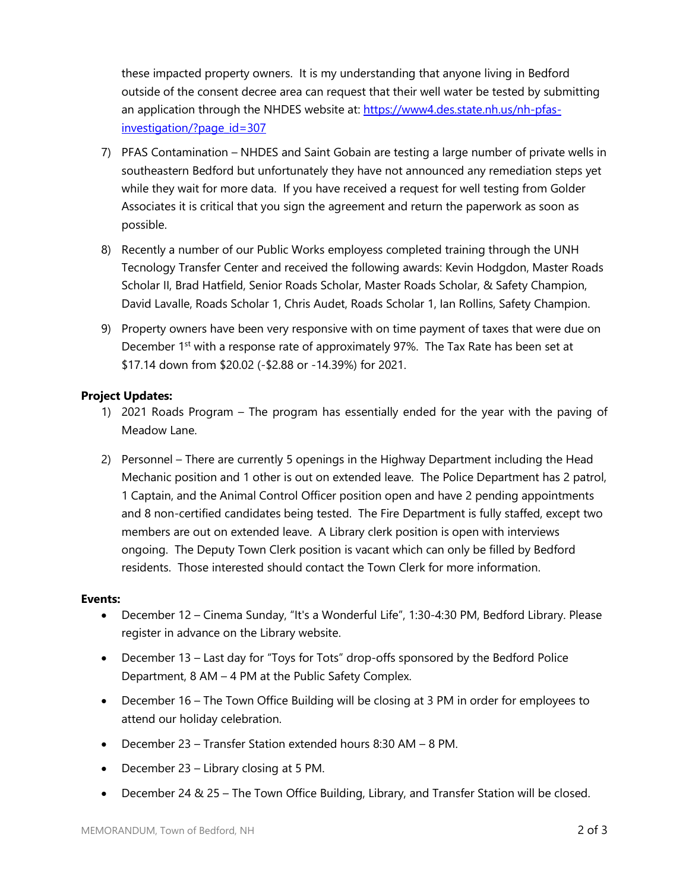these impacted property owners. It is my understanding that anyone living in Bedford outside of the consent decree area can request that their well water be tested by submitting an application through the NHDES website at: https://www4.des.state.nh.us/nh-pfasinvestigation/?page\_id=307

- 7) PFAS Contamination NHDES and Saint Gobain are testing a large number of private wells in southeastern Bedford but unfortunately they have not announced any remediation steps yet while they wait for more data. If you have received a request for well testing from Golder Associates it is critical that you sign the agreement and return the paperwork as soon as possible.
- 8) Recently a number of our Public Works employess completed training through the UNH Tecnology Transfer Center and received the following awards: Kevin Hodgdon, Master Roads Scholar II, Brad Hatfield, Senior Roads Scholar, Master Roads Scholar, & Safety Champion, David Lavalle, Roads Scholar 1, Chris Audet, Roads Scholar 1, Ian Rollins, Safety Champion.
- 9) Property owners have been very responsive with on time payment of taxes that were due on December 1<sup>st</sup> with a response rate of approximately 97%. The Tax Rate has been set at \$17.14 down from \$20.02 (-\$2.88 or -14.39%) for 2021.

# **Project Updates:**

- 1) 2021 Roads Program The program has essentially ended for the year with the paving of Meadow Lane.
- 2) Personnel There are currently 5 openings in the Highway Department including the Head Mechanic position and 1 other is out on extended leave. The Police Department has 2 patrol, 1 Captain, and the Animal Control Officer position open and have 2 pending appointments and 8 non-certified candidates being tested. The Fire Department is fully staffed, except two members are out on extended leave. A Library clerk position is open with interviews ongoing. The Deputy Town Clerk position is vacant which can only be filled by Bedford residents. Those interested should contact the Town Clerk for more information.

## **Events:**

- December 12 Cinema Sunday, "It's a Wonderful Life", 1:30-4:30 PM, Bedford Library. Please register in advance on the Library website.
- December 13 Last day for "Toys for Tots" drop-offs sponsored by the Bedford Police Department, 8 AM – 4 PM at the Public Safety Complex.
- December 16 The Town Office Building will be closing at 3 PM in order for employees to attend our holiday celebration.
- December 23 Transfer Station extended hours 8:30 AM 8 PM.
- December 23 Library closing at 5 PM.
- December 24 & 25 The Town Office Building, Library, and Transfer Station will be closed.